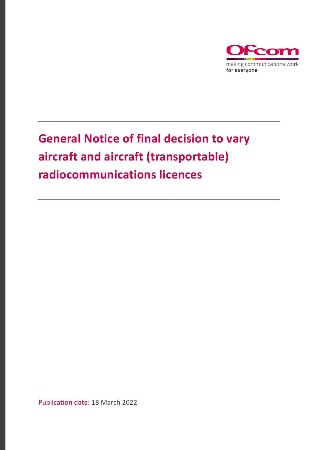

# **General Notice of final decision to vary aircraft and aircraft (transportable) radiocommunications licences**

Publication date: 18 March 2022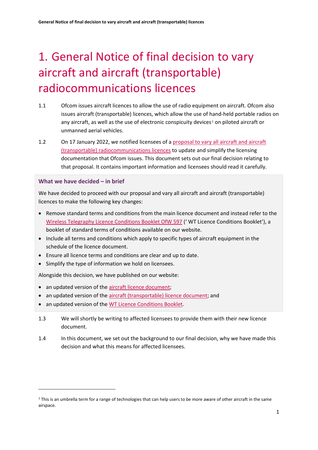# 1. General Notice of final decision to vary aircraft and aircraft (transportable) radiocommunications licences

- 1.1 Ofcom issues aircraft licences to allow the use of radio equipment on aircraft. Ofcom also issues aircraft (transportable) licences, which allow the use of hand-held portable radios on any aircraft, as well as the use of electronic conspicuity devices $1$  on piloted aircraft or unmanned aerial vehicles.
- 1.2 On 17 January 2022, we notified licensees of a proposal to vary all aircraft and aircraft [\(transportable\) radiocommunications licences](https://www.ofcom.org.uk/__data/assets/pdf_file/0022/230647/general-notice-aircraft-licences.pdf) to update and simplify the licensing documentation that Ofcom issues. This document sets out our final decision relating to that proposal. It contains important information and licensees should read it carefully.

#### **What we have decided – in brief**

We have decided to proceed with our proposal and vary all aircraft and aircraft (transportable) licences to make the following key changes:

- Remove standard terms and conditions from the main licence document and instead refer to the [Wireless Telegraphy Licence Conditions Booklet OfW 597](https://www.ofcom.org.uk/__data/assets/pdf_file/0016/214117/emf-glc-licence-conditions-booklet.pdf) (' WT Licence Conditions Booklet'), a booklet of standard terms of conditions available on our website.
- Include all terms and conditions which apply to specific types of aircraft equipment in the schedule of the licence document.
- Ensure all licence terms and conditions are clear and up to date.
- Simplify the type of information we hold on licensees.

Alongside this decision, we have published on our website:

- an updated version of the [aircraft licence document;](https://www.ofcom.org.uk/__data/assets/pdf_file/0023/230648/sample-licence-aircraft.pdf)
- an updated version of the [aircraft \(transportable\) licence document;](https://www.ofcom.org.uk/__data/assets/pdf_file/0024/230649/sample-licence-aircraft-transportable.pdf) and
- an updated version of the [WT Licence Conditions Booklet.](https://www.ofcom.org.uk/__data/assets/pdf_file/0016/214117/emf-glc-licence-conditions-booklet.pdf)
- 1.3 We will shortly be writing to affected licensees to provide them with their new licence document.
- 1.4 In this document, we set out the background to our final decision, why we have made this decision and what this means for affected licensees.

<span id="page-1-0"></span> $1$  This is an umbrella term for a range of technologies that can help users to be more aware of other aircraft in the same airspace.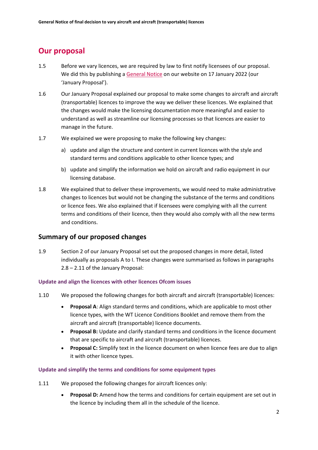# **Our proposal**

- 1.5 Before we vary licences, we are required by law to first notify licensees of our proposal. We did this by publishing a [General Notice](https://www.ofcom.org.uk/aircraft-variation) on our website on 17 January 2022 (our 'January Proposal').
- 1.6 Our January Proposal explained our proposal to make some changes to aircraft and aircraft (transportable) licences to improve the way we deliver these licences. We explained that the changes would make the licensing documentation more meaningful and easier to understand as well as streamline our licensing processes so that licences are easier to manage in the future.
- 1.7 We explained we were proposing to make the following key changes:
	- a) update and align the structure and content in current licences with the style and standard terms and conditions applicable to other licence types; and
	- b) update and simplify the information we hold on aircraft and radio equipment in our licensing database.
- 1.8 We explained that to deliver these improvements, we would need to make administrative changes to licences but would not be changing the substance of the terms and conditions or licence fees. We also explained that if licensees were complying with all the current terms and conditions of their licence, then they would also comply with all the new terms and conditions.

### **Summary of our proposed changes**

1.9 Section 2 of our January Proposal set out the proposed changes in more detail, listed individually as proposals A to I. These changes were summarised as follows in paragraphs 2.8 – 2.11 of the January Proposal:

#### **Update and align the licences with other licences Ofcom issues**

- 1.10 We proposed the following changes for both aircraft and aircraft (transportable) licences:
	- **Proposal A**: Align standard terms and conditions, which are applicable to most other licence types, with the WT Licence Conditions Booklet and remove them from the aircraft and aircraft (transportable) licence documents.
	- **Proposal B:** Update and clarify standard terms and conditions in the licence document that are specific to aircraft and aircraft (transportable) licences.
	- **Proposal C:** Simplify text in the licence document on when licence fees are due to align it with other licence types.

#### **Update and simplify the terms and conditions for some equipment types**

- 1.11 We proposed the following changes for aircraft licences only:
	- **Proposal D:** Amend how the terms and conditions for certain equipment are set out in the licence by including them all in the schedule of the licence.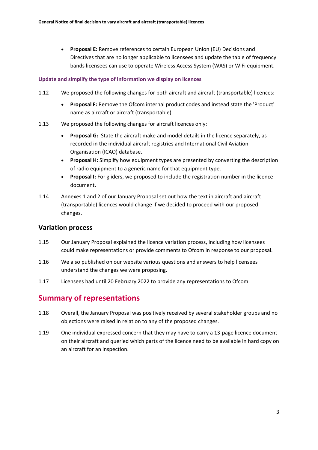• **Proposal E:** Remove references to certain European Union (EU) Decisions and Directives that are no longer applicable to licensees and update the table of frequency bands licensees can use to operate Wireless Access System (WAS) or WiFi equipment.

#### **Update and simplify the type of information we display on licences**

- 1.12 We proposed the following changes for both aircraft and aircraft (transportable) licences:
	- **Proposal F:** Remove the Ofcom internal product codes and instead state the 'Product' name as aircraft or aircraft (transportable).
- 1.13 We proposed the following changes for aircraft licences only:
	- **Proposal G:** State the aircraft make and model details in the licence separately, as recorded in the individual aircraft registries and International Civil Aviation Organisation (ICAO) database.
	- **Proposal H:** Simplify how equipment types are presented by converting the description of radio equipment to a generic name for that equipment type.
	- **Proposal I:** For gliders, we proposed to include the registration number in the licence document.
- 1.14 Annexes 1 and 2 of our January Proposal set out how the text in aircraft and aircraft (transportable) licences would change if we decided to proceed with our proposed changes.

### **Variation process**

- 1.15 Our January Proposal explained the licence variation process, including how licensees could make representations or provide comments to Ofcom in response to our proposal.
- 1.16 We also published on our website various questions and answers to help licensees understand the changes we were proposing.
- 1.17 Licensees had until 20 February 2022 to provide any representations to Ofcom.

# **Summary of representations**

- 1.18 Overall, the January Proposal was positively received by several stakeholder groups and no objections were raised in relation to any of the proposed changes.
- 1.19 One individual expressed concern that they may have to carry a 13-page licence document on their aircraft and queried which parts of the licence need to be available in hard copy on an aircraft for an inspection.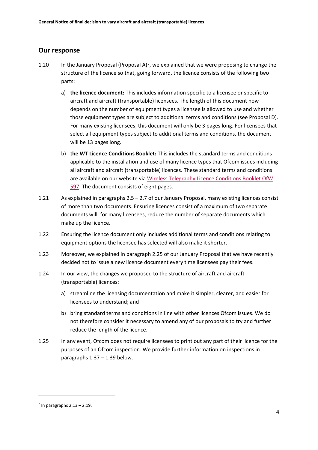#### **Our response**

- 1.20 In the January Proposal (Proposal A)<sup>2</sup>, we explained that we were proposing to change the structure of the licence so that, going forward, the licence consists of the following two parts:
	- a) **the licence document:** This includes information specific to a licensee or specific to aircraft and aircraft (transportable) licensees. The length of this document now depends on the number of equipment types a licensee is allowed to use and whether those equipment types are subject to additional terms and conditions (see Proposal D). For many existing licensees, this document will only be 3 pages long. For licensees that select all equipment types subject to additional terms and conditions, the document will be 13 pages long.
	- b) **the WT Licence Conditions Booklet:** This includes the standard terms and conditions applicable to the installation and use of many licence types that Ofcom issues including all aircraft and aircraft (transportable) licences. These standard terms and conditions are available on our website via [Wireless Telegraphy Licence Conditions Booklet OfW](https://www.ofcom.org.uk/__data/assets/pdf_file/0016/214117/emf-glc-licence-conditions-booklet.pdf)  [597.](https://www.ofcom.org.uk/__data/assets/pdf_file/0016/214117/emf-glc-licence-conditions-booklet.pdf) The document consists of eight pages.
- 1.21 As explained in paragraphs 2.5 2.7 of our January Proposal, many existing licences consist of more than two documents. Ensuring licences consist of a maximum of two separate documents will, for many licensees, reduce the number of separate documents which make up the licence.
- 1.22 Ensuring the licence document only includes additional terms and conditions relating to equipment options the licensee has selected will also make it shorter.
- 1.23 Moreover, we explained in paragraph 2.25 of our January Proposal that we have recently decided not to issue a new licence document every time licensees pay their fees.
- 1.24 In our view, the changes we proposed to the structure of aircraft and aircraft (transportable) licences:
	- a) streamline the licensing documentation and make it simpler, clearer, and easier for licensees to understand; and
	- b) bring standard terms and conditions in line with other licences Ofcom issues. We do not therefore consider it necessary to amend any of our proposals to try and further reduce the length of the licence.
- 1.25 In any event, Ofcom does not require licensees to print out any part of their licence for the purposes of an Ofcom inspection. We provide further information on inspections in paragraphs 1.37 – 1.39 below.

<span id="page-4-0"></span> $2$  In paragraphs  $2.13 - 2.19$ .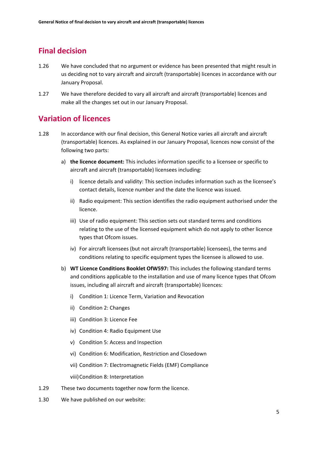# **Final decision**

- 1.26 We have concluded that no argument or evidence has been presented that might result in us deciding not to vary aircraft and aircraft (transportable) licences in accordance with our January Proposal.
- 1.27 We have therefore decided to vary all aircraft and aircraft (transportable) licences and make all the changes set out in our January Proposal.

## **Variation of licences**

- 1.28 In accordance with our final decision, this General Notice varies all aircraft and aircraft (transportable) licences. As explained in our January Proposal, licences now consist of the following two parts:
	- a) **the licence document:** This includes information specific to a licensee or specific to aircraft and aircraft (transportable) licensees including:
		- i) licence details and validity: This section includes information such as the licensee's contact details, licence number and the date the licence was issued.
		- ii) Radio equipment: This section identifies the radio equipment authorised under the licence.
		- iii) Use of radio equipment: This section sets out standard terms and conditions relating to the use of the licensed equipment which do not apply to other licence types that Ofcom issues.
		- iv) For aircraft licensees (but not aircraft (transportable) licensees), the terms and conditions relating to specific equipment types the licensee is allowed to use.
	- b) **WT Licence Conditions Booklet OfW597:** This includes the following standard terms and conditions applicable to the installation and use of many licence types that Ofcom issues, including all aircraft and aircraft (transportable) licences:
		- i) Condition 1: Licence Term, Variation and Revocation
		- ii) Condition 2: Changes
		- iii) Condition 3: Licence Fee
		- iv) Condition 4: Radio Equipment Use
		- v) Condition 5: Access and Inspection
		- vi) Condition 6: Modification, Restriction and Closedown
		- vii) Condition 7: Electromagnetic Fields (EMF) Compliance

viii)Condition 8: Interpretation

- 1.29 These two documents together now form the licence.
- 1.30 We have published on our website: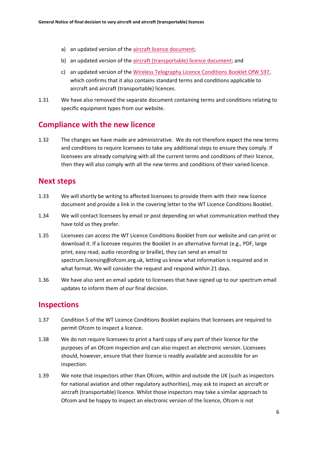- a) an updated version of the [aircraft licence document;](https://www.ofcom.org.uk/__data/assets/pdf_file/0023/230648/sample-licence-aircraft.pdf)
- b) an updated version of the [aircraft \(transportable\) licence document;](https://www.ofcom.org.uk/__data/assets/pdf_file/0024/230649/sample-licence-aircraft-transportable.pdf) and
- c) an updated version of the [Wireless Telegraphy Licence Conditions Booklet OfW 597,](https://www.ofcom.org.uk/__data/assets/pdf_file/0016/214117/emf-glc-licence-conditions-booklet.pdf) which confirms that it also contains standard terms and conditions applicable to aircraft and aircraft (transportable) licences.
- 1.31 We have also removed the separate document containing terms and conditions relating to specific equipment types from our website.

## **Compliance with the new licence**

1.32 The changes we have made are administrative. We do not therefore expect the new terms and conditions to require licensees to take any additional steps to ensure they comply. If licensees are already complying with all the current terms and conditions of their licence, then they will also comply with all the new terms and conditions of their varied licence.

## **Next steps**

- 1.33 We will shortly be writing to affected licensees to provide them with their new licence document and provide a link in the covering letter to the WT Licence Conditions Booklet.
- 1.34 We will contact licensees by email or post depending on what communication method they have told us they prefer.
- 1.35 Licensees can access the WT Licence Conditions Booklet from our website and can print or download it. If a licensee requires the Booklet in an alternative format (e.g., PDF, large print, easy read, audio recording or braille), they can send an email to spectrum.licensing@ofcom.org.uk, letting us know what information is required and in what format. We will consider the request and respond within 21 days.
- 1.36 We have also sent an email update to licensees that have signed up to our spectrum email updates to inform them of our final decision.

## **Inspections**

- 1.37 Condition 5 of the WT Licence Conditions Booklet explains that licensees are required to permit Ofcom to inspect a licence.
- 1.38 We do not require licensees to print a hard copy of any part of their licence for the purposes of an Ofcom inspection and can also inspect an electronic version. Licensees should, however, ensure that their licence is readily available and accessible for an inspection.
- 1.39 We note that inspectors other than Ofcom, within and outside the UK (such as inspectors for national aviation and other regulatory authorities), may ask to inspect an aircraft or aircraft (transportable) licence. Whilst those inspectors may take a similar approach to Ofcom and be happy to inspect an electronic version of the licence, Ofcom is not